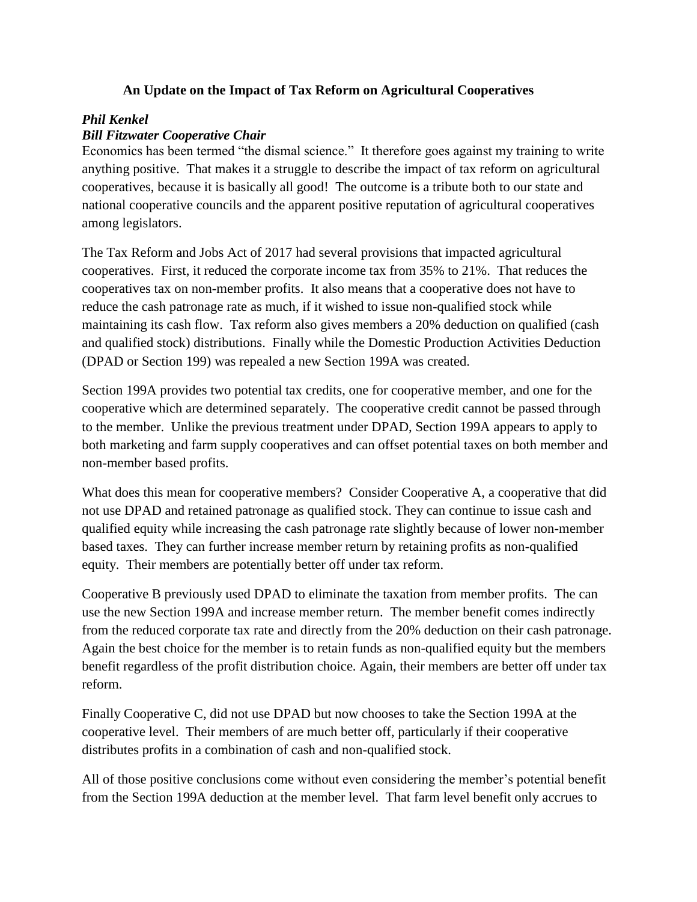## **An Update on the Impact of Tax Reform on Agricultural Cooperatives**

## *Phil Kenkel*

## *Bill Fitzwater Cooperative Chair*

Economics has been termed "the dismal science." It therefore goes against my training to write anything positive. That makes it a struggle to describe the impact of tax reform on agricultural cooperatives, because it is basically all good! The outcome is a tribute both to our state and national cooperative councils and the apparent positive reputation of agricultural cooperatives among legislators.

The Tax Reform and Jobs Act of 2017 had several provisions that impacted agricultural cooperatives. First, it reduced the corporate income tax from 35% to 21%. That reduces the cooperatives tax on non-member profits. It also means that a cooperative does not have to reduce the cash patronage rate as much, if it wished to issue non-qualified stock while maintaining its cash flow. Tax reform also gives members a 20% deduction on qualified (cash and qualified stock) distributions. Finally while the Domestic Production Activities Deduction (DPAD or Section 199) was repealed a new Section 199A was created.

Section 199A provides two potential tax credits, one for cooperative member, and one for the cooperative which are determined separately. The cooperative credit cannot be passed through to the member. Unlike the previous treatment under DPAD, Section 199A appears to apply to both marketing and farm supply cooperatives and can offset potential taxes on both member and non-member based profits.

What does this mean for cooperative members? Consider Cooperative A, a cooperative that did not use DPAD and retained patronage as qualified stock. They can continue to issue cash and qualified equity while increasing the cash patronage rate slightly because of lower non-member based taxes. They can further increase member return by retaining profits as non-qualified equity. Their members are potentially better off under tax reform.

Cooperative B previously used DPAD to eliminate the taxation from member profits. The can use the new Section 199A and increase member return. The member benefit comes indirectly from the reduced corporate tax rate and directly from the 20% deduction on their cash patronage. Again the best choice for the member is to retain funds as non-qualified equity but the members benefit regardless of the profit distribution choice. Again, their members are better off under tax reform.

Finally Cooperative C, did not use DPAD but now chooses to take the Section 199A at the cooperative level. Their members of are much better off, particularly if their cooperative distributes profits in a combination of cash and non-qualified stock.

All of those positive conclusions come without even considering the member's potential benefit from the Section 199A deduction at the member level. That farm level benefit only accrues to